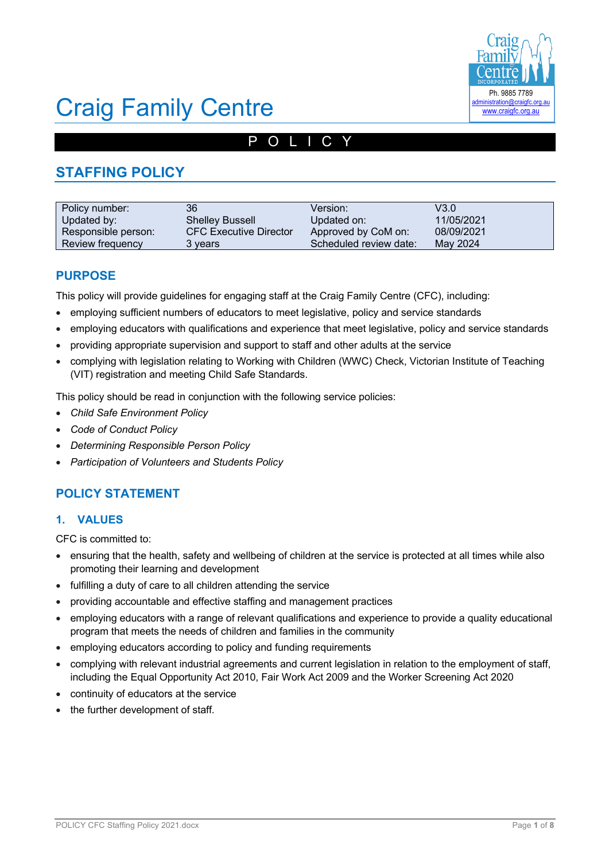

# Craig Family Centre

# POLICY

# **STAFFING POLICY**

| Policy number:      | 36                            | Version:               | V3.0       |
|---------------------|-------------------------------|------------------------|------------|
| Updated by:         | <b>Shelley Bussell</b>        | Updated on:            | 11/05/2021 |
| Responsible person: | <b>CFC Executive Director</b> | Approved by CoM on:    | 08/09/2021 |
| Review frequency    | 3 years                       | Scheduled review date: | May 2024   |

## **PURPOSE**

This policy will provide guidelines for engaging staff at the Craig Family Centre (CFC), including:

- employing sufficient numbers of educators to meet legislative, policy and service standards
- employing educators with qualifications and experience that meet legislative, policy and service standards
- providing appropriate supervision and support to staff and other adults at the service
- complying with legislation relating to Working with Children (WWC) Check, Victorian Institute of Teaching (VIT) registration and meeting Child Safe Standards.

This policy should be read in conjunction with the following service policies:

- *Child Safe Environment Policy*
- *Code of Conduct Policy*
- *Determining Responsible Person Policy*
- *Participation of Volunteers and Students Policy*

# **POLICY STATEMENT**

### **1. VALUES**

CFC is committed to:

- ensuring that the health, safety and wellbeing of children at the service is protected at all times while also promoting their learning and development
- fulfilling a duty of care to all children attending the service
- providing accountable and effective staffing and management practices
- employing educators with a range of relevant qualifications and experience to provide a quality educational program that meets the needs of children and families in the community
- employing educators according to policy and funding requirements
- complying with relevant industrial agreements and current legislation in relation to the employment of staff, including the Equal Opportunity Act 2010, Fair Work Act 2009 and the Worker Screening Act 2020
- continuity of educators at the service
- the further development of staff*.*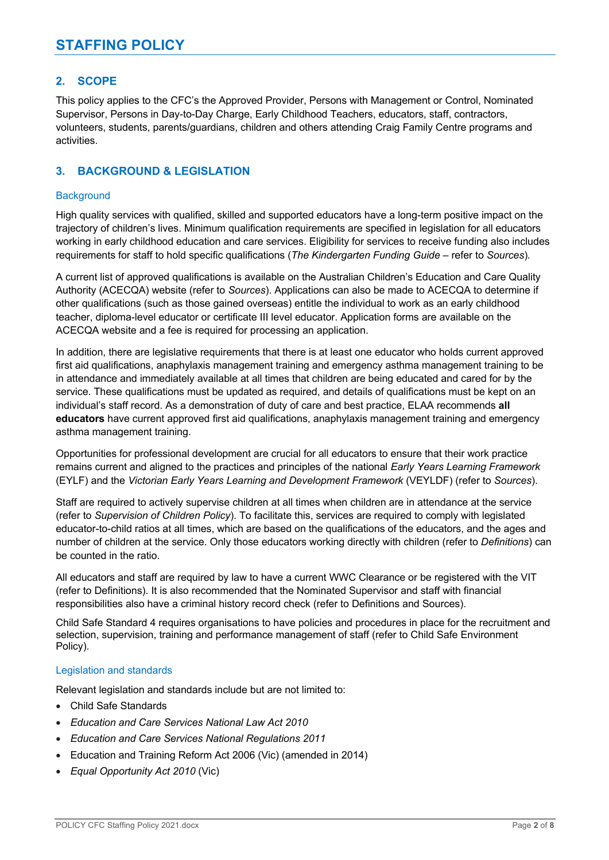### **2. SCOPE**

This policy applies to the CFC's the Approved Provider, Persons with Management or Control, Nominated Supervisor, Persons in Day-to-Day Charge, Early Childhood Teachers, educators, staff, contractors, volunteers, students, parents/guardians, children and others attending Craig Family Centre programs and activities.

### **3. BACKGROUND & LEGISLATION**

### **Background**

High quality services with qualified, skilled and supported educators have a long-term positive impact on the trajectory of children's lives. Minimum qualification requirements are specified in legislation for all educators working in early childhood education and care services. Eligibility for services to receive funding also includes requirements for staff to hold specific qualifications (*The Kindergarten Funding Guide –* refer to *Sources*)*.*

A current list of approved qualifications is available on the Australian Children's Education and Care Quality Authority (ACECQA) website (refer to *Sources*). Applications can also be made to ACECQA to determine if other qualifications (such as those gained overseas) entitle the individual to work as an early childhood teacher, diploma-level educator or certificate III level educator. Application forms are available on the ACECQA website and a fee is required for processing an application.

In addition, there are legislative requirements that there is at least one educator who holds current approved first aid qualifications, anaphylaxis management training and emergency asthma management training to be in attendance and immediately available at all times that children are being educated and cared for by the service. These qualifications must be updated as required, and details of qualifications must be kept on an individual's staff record. As a demonstration of duty of care and best practice, ELAA recommends **all educators** have current approved first aid qualifications, anaphylaxis management training and emergency asthma management training.

Opportunities for professional development are crucial for all educators to ensure that their work practice remains current and aligned to the practices and principles of the national *Early Years Learning Framework* (EYLF) and the *Victorian Early Years Learning and Development Framework* (VEYLDF) (refer to *Sources*).

Staff are required to actively supervise children at all times when children are in attendance at the service (refer to *Supervision of Children Policy*). To facilitate this, services are required to comply with legislated educator-to-child ratios at all times, which are based on the qualifications of the educators, and the ages and number of children at the service. Only those educators working directly with children (refer to *Definitions*) can be counted in the ratio.

All educators and staff are required by law to have a current WWC Clearance or be registered with the VIT (refer to Definitions). It is also recommended that the Nominated Supervisor and staff with financial responsibilities also have a criminal history record check (refer to Definitions and Sources).

Child Safe Standard 4 requires organisations to have policies and procedures in place for the recruitment and selection, supervision, training and performance management of staff (refer to Child Safe Environment Policy).

### Legislation and standards

Relevant legislation and standards include but are not limited to:

- Child Safe Standards
- *Education and Care Services National Law Act 2010*
- *Education and Care Services National Regulations 2011*
- Education and Training Reform Act 2006 (Vic) (amended in 2014)
- *Equal Opportunity Act 2010* (Vic)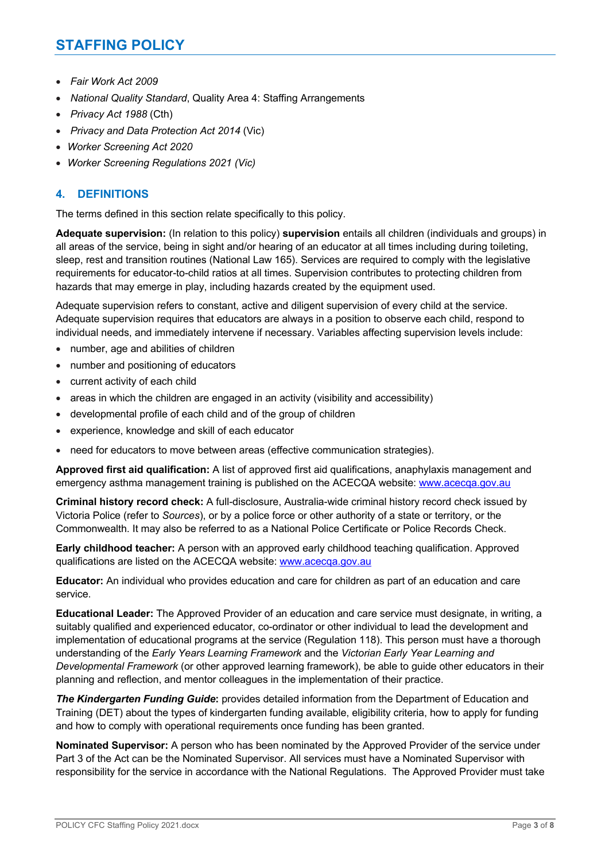- *Fair Work Act 2009*
- *National Quality Standard*, Quality Area 4: Staffing Arrangements
- *Privacy Act 1988* (Cth)
- *Privacy and Data Protection Act 2014* (Vic)
- *Worker Screening Act 2020*
- *Worker Screening Regulations 2021 (Vic)*

### **4. DEFINITIONS**

The terms defined in this section relate specifically to this policy.

**Adequate supervision:** (In relation to this policy) **supervision** entails all children (individuals and groups) in all areas of the service, being in sight and/or hearing of an educator at all times including during toileting, sleep, rest and transition routines (National Law 165). Services are required to comply with the legislative requirements for educator-to-child ratios at all times. Supervision contributes to protecting children from hazards that may emerge in play, including hazards created by the equipment used.

Adequate supervision refers to constant, active and diligent supervision of every child at the service. Adequate supervision requires that educators are always in a position to observe each child, respond to individual needs, and immediately intervene if necessary. Variables affecting supervision levels include:

- number, age and abilities of children
- number and positioning of educators
- current activity of each child
- areas in which the children are engaged in an activity (visibility and accessibility)
- developmental profile of each child and of the group of children
- experience, knowledge and skill of each educator
- need for educators to move between areas (effective communication strategies).

**Approved first aid qualification:** A list of approved first aid qualifications, anaphylaxis management and emergency asthma management training is published on the ACECQA website: www.acecqa.gov.au

**Criminal history record check:** A full-disclosure, Australia-wide criminal history record check issued by Victoria Police (refer to *Sources*), or by a police force or other authority of a state or territory, or the Commonwealth. It may also be referred to as a National Police Certificate or Police Records Check.

**Early childhood teacher:** A person with an approved early childhood teaching qualification. Approved qualifications are listed on the ACECQA website: www.acecqa.gov.au

**Educator:** An individual who provides education and care for children as part of an education and care service.

**Educational Leader:** The Approved Provider of an education and care service must designate, in writing, a suitably qualified and experienced educator, co-ordinator or other individual to lead the development and implementation of educational programs at the service (Regulation 118). This person must have a thorough understanding of the *Early Years Learning Framework* and the *Victorian Early Year Learning and Developmental Framework* (or other approved learning framework), be able to guide other educators in their planning and reflection, and mentor colleagues in the implementation of their practice.

*The Kindergarten Funding Guide***:** provides detailed information from the Department of Education and Training (DET) about the types of kindergarten funding available, eligibility criteria, how to apply for funding and how to comply with operational requirements once funding has been granted.

**Nominated Supervisor:** A person who has been nominated by the Approved Provider of the service under Part 3 of the Act can be the Nominated Supervisor. All services must have a Nominated Supervisor with responsibility for the service in accordance with the National Regulations. The Approved Provider must take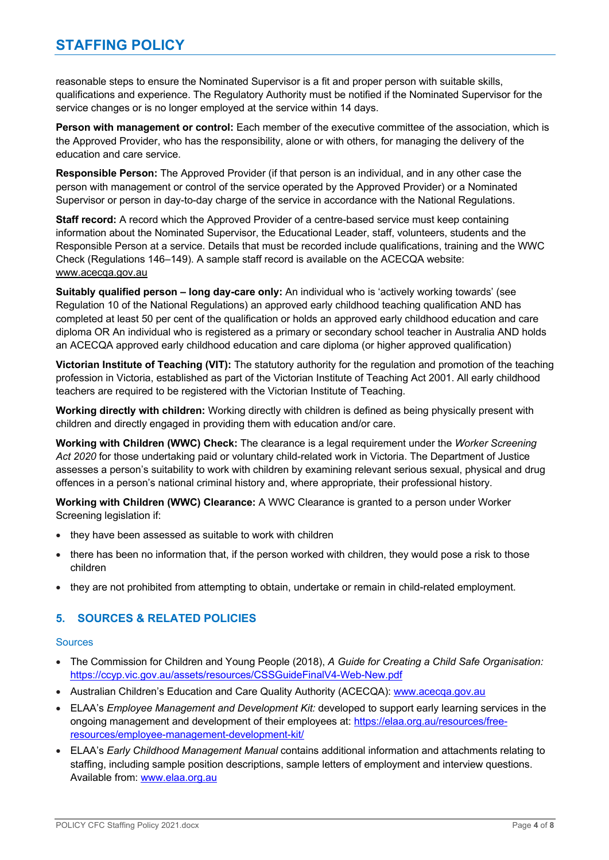reasonable steps to ensure the Nominated Supervisor is a fit and proper person with suitable skills, qualifications and experience. The Regulatory Authority must be notified if the Nominated Supervisor for the service changes or is no longer employed at the service within 14 days.

Person with management or control: Each member of the executive committee of the association, which is the Approved Provider, who has the responsibility, alone or with others, for managing the delivery of the education and care service.

**Responsible Person:** The Approved Provider (if that person is an individual, and in any other case the person with management or control of the service operated by the Approved Provider) or a Nominated Supervisor or person in day-to-day charge of the service in accordance with the National Regulations.

**Staff record:** A record which the Approved Provider of a centre-based service must keep containing information about the Nominated Supervisor, the Educational Leader, staff, volunteers, students and the Responsible Person at a service. Details that must be recorded include qualifications, training and the WWC Check (Regulations 146–149). A sample staff record is available on the ACECQA website: www.acecqa.gov.au

**Suitably qualified person – long day-care only:** An individual who is 'actively working towards' (see Regulation 10 of the National Regulations) an approved early childhood teaching qualification AND has completed at least 50 per cent of the qualification or holds an approved early childhood education and care diploma OR An individual who is registered as a primary or secondary school teacher in Australia AND holds an ACECQA approved early childhood education and care diploma (or higher approved qualification)

**Victorian Institute of Teaching (VIT):** The statutory authority for the regulation and promotion of the teaching profession in Victoria, established as part of the Victorian Institute of Teaching Act 2001. All early childhood teachers are required to be registered with the Victorian Institute of Teaching.

**Working directly with children:** Working directly with children is defined as being physically present with children and directly engaged in providing them with education and/or care.

**Working with Children (WWC) Check:** The clearance is a legal requirement under the *Worker Screening Act 2020* for those undertaking paid or voluntary child-related work in Victoria. The Department of Justice assesses a person's suitability to work with children by examining relevant serious sexual, physical and drug offences in a person's national criminal history and, where appropriate, their professional history.

**Working with Children (WWC) Clearance:** A WWC Clearance is granted to a person under Worker Screening legislation if:

- they have been assessed as suitable to work with children
- there has been no information that, if the person worked with children, they would pose a risk to those children
- they are not prohibited from attempting to obtain, undertake or remain in child-related employment.

### **5. SOURCES & RELATED POLICIES**

### **Sources**

- The Commission for Children and Young People (2018), *A Guide for Creating a Child Safe Organisation:*  https://ccyp.vic.gov.au/assets/resources/CSSGuideFinalV4-Web-New.pdf
- Australian Children's Education and Care Quality Authority (ACECQA): www.acecqa.gov.au
- ELAA's *Employee Management and Development Kit:* developed to support early learning services in the ongoing management and development of their employees at: https://elaa.org.au/resources/freeresources/employee-management-development-kit/
- ELAA's *Early Childhood Management Manual* contains additional information and attachments relating to staffing, including sample position descriptions, sample letters of employment and interview questions. Available from: www.elaa.org.au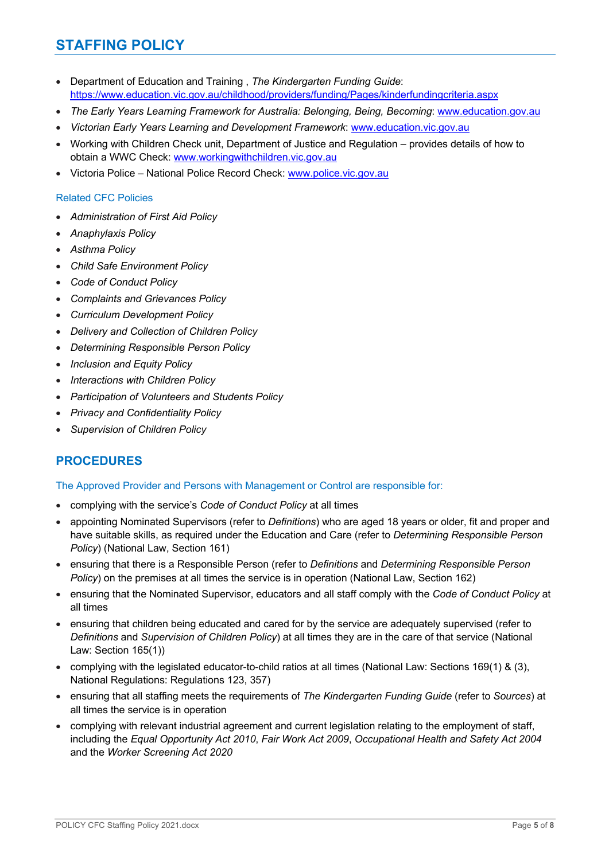# **STAFFING POLICY**

- Department of Education and Training , *The Kindergarten Funding Guide*: https://www.education.vic.gov.au/childhood/providers/funding/Pages/kinderfundingcriteria.aspx
- *The Early Years Learning Framework for Australia: Belonging, Being, Becoming*: www.education.gov.au
- *Victorian Early Years Learning and Development Framework*: www.education.vic.gov.au
- Working with Children Check unit, Department of Justice and Regulation provides details of how to obtain a WWC Check: www.workingwithchildren.vic.gov.au
- Victoria Police National Police Record Check: www.police.vic.gov.au

### Related CFC Policies

- *Administration of First Aid Policy*
- *Anaphylaxis Policy*
- *Asthma Policy*
- *Child Safe Environment Policy*
- *Code of Conduct Policy*
- *Complaints and Grievances Policy*
- *Curriculum Development Policy*
- *Delivery and Collection of Children Policy*
- *Determining Responsible Person Policy*
- *Inclusion and Equity Policy*
- *Interactions with Children Policy*
- *Participation of Volunteers and Students Policy*
- *Privacy and Confidentiality Policy*
- *Supervision of Children Policy*

# **PROCEDURES**

### The Approved Provider and Persons with Management or Control are responsible for:

- complying with the service's *Code of Conduct Policy* at all times
- appointing Nominated Supervisors (refer to *Definitions*) who are aged 18 years or older, fit and proper and have suitable skills, as required under the Education and Care (refer to *Determining Responsible Person Policy*) (National Law, Section 161)
- ensuring that there is a Responsible Person (refer to *Definitions* and *Determining Responsible Person Policy*) on the premises at all times the service is in operation (National Law, Section 162)
- ensuring that the Nominated Supervisor, educators and all staff comply with the *Code of Conduct Policy* at all times
- ensuring that children being educated and cared for by the service are adequately supervised (refer to *Definitions* and *Supervision of Children Policy*) at all times they are in the care of that service (National Law: Section 165(1))
- complying with the legislated educator-to-child ratios at all times (National Law: Sections 169(1) & (3), National Regulations: Regulations 123, 357)
- ensuring that all staffing meets the requirements of *The Kindergarten Funding Guide* (refer to *Sources*) at all times the service is in operation
- complying with relevant industrial agreement and current legislation relating to the employment of staff, including the *Equal Opportunity Act 2010*, *Fair Work Act 2009*, *Occupational Health and Safety Act 2004* and the *Worker Screening Act 2020*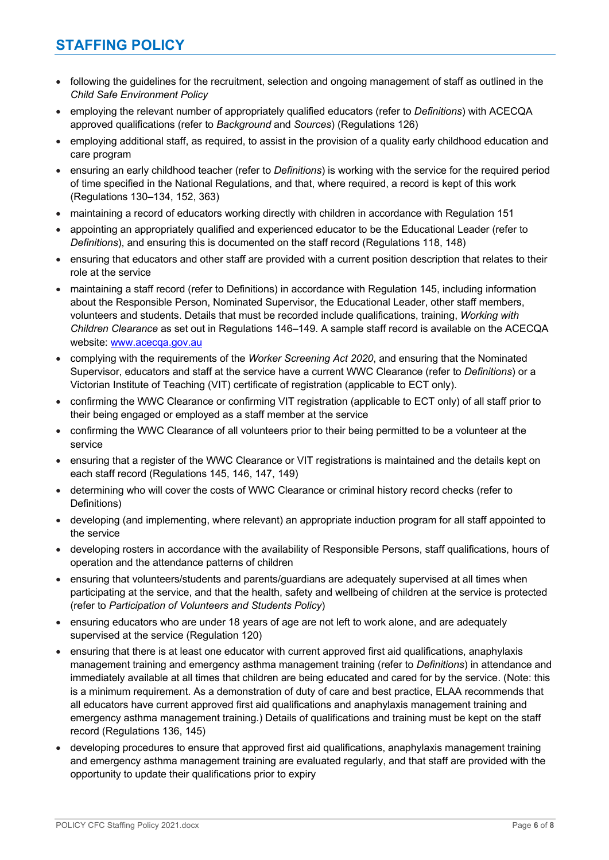- following the guidelines for the recruitment, selection and ongoing management of staff as outlined in the *Child Safe Environment Policy*
- employing the relevant number of appropriately qualified educators (refer to *Definitions*) with ACECQA approved qualifications (refer to *Background* and *Sources*) (Regulations 126)
- employing additional staff, as required, to assist in the provision of a quality early childhood education and care program
- ensuring an early childhood teacher (refer to *Definitions*) is working with the service for the required period of time specified in the National Regulations, and that, where required, a record is kept of this work (Regulations 130–134, 152, 363)
- maintaining a record of educators working directly with children in accordance with Regulation 151
- appointing an appropriately qualified and experienced educator to be the Educational Leader (refer to *Definitions*), and ensuring this is documented on the staff record (Regulations 118, 148)
- ensuring that educators and other staff are provided with a current position description that relates to their role at the service
- maintaining a staff record (refer to Definitions) in accordance with Regulation 145, including information about the Responsible Person, Nominated Supervisor, the Educational Leader, other staff members, volunteers and students. Details that must be recorded include qualifications, training, *Working with Children Clearance* as set out in Regulations 146–149. A sample staff record is available on the ACECQA website: www.acecqa.gov.au
- complying with the requirements of the *Worker Screening Act 2020*, and ensuring that the Nominated Supervisor, educators and staff at the service have a current WWC Clearance (refer to *Definitions*) or a Victorian Institute of Teaching (VIT) certificate of registration (applicable to ECT only).
- confirming the WWC Clearance or confirming VIT registration (applicable to ECT only) of all staff prior to their being engaged or employed as a staff member at the service
- confirming the WWC Clearance of all volunteers prior to their being permitted to be a volunteer at the service
- ensuring that a register of the WWC Clearance or VIT registrations is maintained and the details kept on each staff record (Regulations 145, 146, 147, 149)
- determining who will cover the costs of WWC Clearance or criminal history record checks (refer to Definitions)
- developing (and implementing, where relevant) an appropriate induction program for all staff appointed to the service
- developing rosters in accordance with the availability of Responsible Persons, staff qualifications, hours of operation and the attendance patterns of children
- ensuring that volunteers/students and parents/guardians are adequately supervised at all times when participating at the service, and that the health, safety and wellbeing of children at the service is protected (refer to *Participation of Volunteers and Students Policy*)
- ensuring educators who are under 18 years of age are not left to work alone, and are adequately supervised at the service (Regulation 120)
- ensuring that there is at least one educator with current approved first aid qualifications, anaphylaxis management training and emergency asthma management training (refer to *Definitions*) in attendance and immediately available at all times that children are being educated and cared for by the service. (Note: this is a minimum requirement. As a demonstration of duty of care and best practice, ELAA recommends that all educators have current approved first aid qualifications and anaphylaxis management training and emergency asthma management training.) Details of qualifications and training must be kept on the staff record (Regulations 136, 145)
- developing procedures to ensure that approved first aid qualifications, anaphylaxis management training and emergency asthma management training are evaluated regularly, and that staff are provided with the opportunity to update their qualifications prior to expiry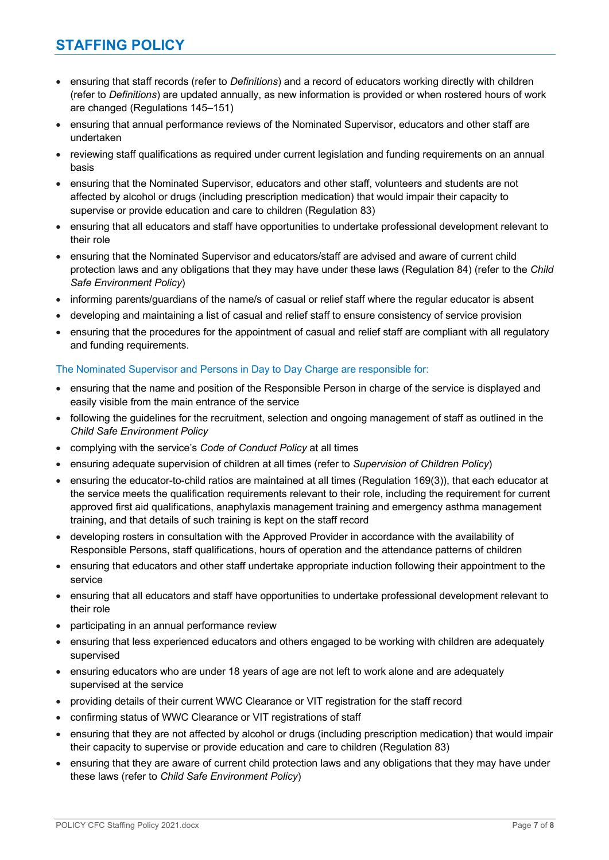# **STAFFING POLICY**

- ensuring that staff records (refer to *Definitions*) and a record of educators working directly with children (refer to *Definitions*) are updated annually, as new information is provided or when rostered hours of work are changed (Regulations 145–151)
- ensuring that annual performance reviews of the Nominated Supervisor, educators and other staff are undertaken
- reviewing staff qualifications as required under current legislation and funding requirements on an annual basis
- ensuring that the Nominated Supervisor, educators and other staff, volunteers and students are not affected by alcohol or drugs (including prescription medication) that would impair their capacity to supervise or provide education and care to children (Regulation 83)
- ensuring that all educators and staff have opportunities to undertake professional development relevant to their role
- ensuring that the Nominated Supervisor and educators/staff are advised and aware of current child protection laws and any obligations that they may have under these laws (Regulation 84) (refer to the *Child Safe Environment Policy*)
- informing parents/guardians of the name/s of casual or relief staff where the regular educator is absent
- developing and maintaining a list of casual and relief staff to ensure consistency of service provision
- ensuring that the procedures for the appointment of casual and relief staff are compliant with all regulatory and funding requirements.

### The Nominated Supervisor and Persons in Day to Day Charge are responsible for:

- ensuring that the name and position of the Responsible Person in charge of the service is displayed and easily visible from the main entrance of the service
- following the guidelines for the recruitment, selection and ongoing management of staff as outlined in the *Child Safe Environment Policy*
- complying with the service's *Code of Conduct Policy* at all times
- ensuring adequate supervision of children at all times (refer to *Supervision of Children Policy*)
- ensuring the educator-to-child ratios are maintained at all times (Regulation 169(3)), that each educator at the service meets the qualification requirements relevant to their role, including the requirement for current approved first aid qualifications, anaphylaxis management training and emergency asthma management training, and that details of such training is kept on the staff record
- developing rosters in consultation with the Approved Provider in accordance with the availability of Responsible Persons, staff qualifications, hours of operation and the attendance patterns of children
- ensuring that educators and other staff undertake appropriate induction following their appointment to the service
- ensuring that all educators and staff have opportunities to undertake professional development relevant to their role
- participating in an annual performance review
- ensuring that less experienced educators and others engaged to be working with children are adequately supervised
- ensuring educators who are under 18 years of age are not left to work alone and are adequately supervised at the service
- providing details of their current WWC Clearance or VIT registration for the staff record
- confirming status of WWC Clearance or VIT registrations of staff
- ensuring that they are not affected by alcohol or drugs (including prescription medication) that would impair their capacity to supervise or provide education and care to children (Regulation 83)
- ensuring that they are aware of current child protection laws and any obligations that they may have under these laws (refer to *Child Safe Environment Policy*)